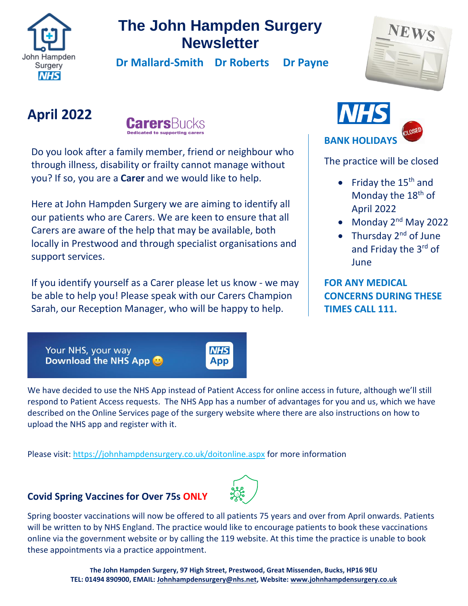

## **The John Hampden Surgery Newsletter**

 **Dr Mallard-Smith Dr Roberts Dr Payne** 

# **April 2022**



Do you look after a family member, friend or neighbour who through illness, disability or frailty cannot manage without you? If so, you are a **Carer** and we would like to help.

Here at John Hampden Surgery we are aiming to identify all our patients who are Carers. We are keen to ensure that all Carers are aware of the help that may be available, both locally in Prestwood and through specialist organisations and support services.

If you identify yourself as a Carer [please let us know](http://www.johnhampden.co.uk/carer.aspx) - we may be able to help you! Please speak with our Carers Champion Sarah, our Reception Manager, who will be happy to help.

Your NHS, your way Download the NHS App



**NHS** 

App

Please visit:<https://johnhampdensurgery.co.uk/doitonline.aspx> for more information

## **Covid Spring Vaccines for Over 75s ONLY**



Spring booster vaccinations will now be offered to all patients 75 years and over from April onwards. Patients will be written to by NHS England. The practice would like to encourage patients to book these vaccinations online via the government website or by calling the 119 website. At this time the practice is unable to book these appointments via a practice appointment.



The practice will be closed

- Friday the  $15<sup>th</sup>$  and Monday the 18<sup>th</sup> of April 2022
- Monday 2<sup>nd</sup> May 2022
- Thursday  $2^{nd}$  of June and Friday the 3rd of **June**

**FOR ANY MEDICAL CONCERNS DURING THESE TIMES CALL 111.**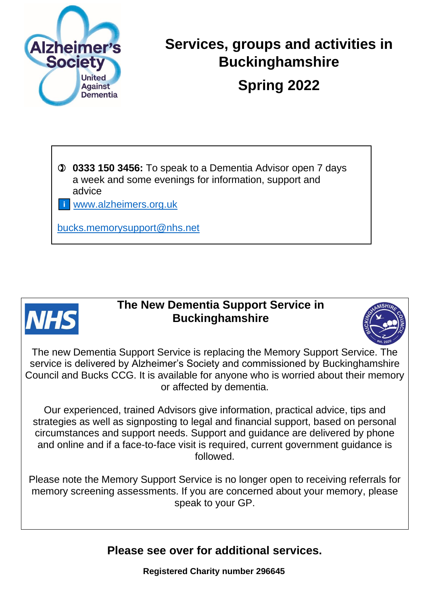

# **Services, groups and activities in Buckinghamshire Spring 2022**

 **0333 150 3456:** To speak to a Dementia Advisor open 7 days a week and some evenings for information, support and advice

[www.alzheimers.org.uk](http://www.alzheimers.org.uk/)

[bucks.memorysupport@nhs.net](mailto:bucks.memorysupport@nhs.net)



## **The New Dementia Support Service in Buckinghamshire**



The new Dementia Support Service is replacing the Memory Support Service. The service is delivered by Alzheimer's Society and commissioned by Buckinghamshire Council and Bucks CCG. It is available for anyone who is worried about their memory or affected by dementia.

Our experienced, trained Advisors give information, practical advice, tips and strategies as well as signposting to legal and financial support, based on personal circumstances and support needs. Support and guidance are delivered by phone and online and if a face-to-face visit is required, current government guidance is followed.

Please note the Memory Support Service is no longer open to receiving referrals for memory screening assessments. If you are concerned about your memory, please speak to your GP.

**Please see over for additional services.**

**Registered Charity number 296645**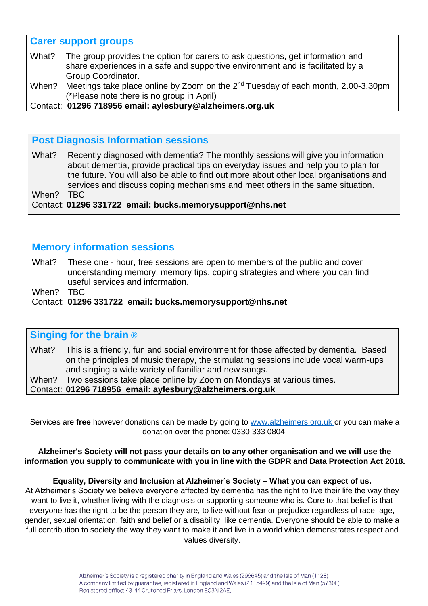#### **Carer support groups**

- What? The group provides the option for carers to ask questions, get information and share experiences in a safe and supportive environment and is facilitated by a Group Coordinator.
- When? Meetings take place online by Zoom on the 2<sup>nd</sup> Tuesday of each month, 2.00-3.30pm (\*Please note there is no group in April)
- Contact: **01296 718956 email: aylesbury@alzheimers.org.uk**

### **Post Diagnosis Information sessions**

What? Recently diagnosed with dementia? The monthly sessions will give you information about dementia, provide practical tips on everyday issues and help you to plan for the future. You will also be able to find out more about other local organisations and services and discuss coping mechanisms and meet others in the same situation. When? TBC Contact: **01296 331722 email: bucks.memorysupport@nhs.net** 

## **Memory information sessions**

What? These one - hour, free sessions are open to members of the public and cover understanding memory, memory tips, coping strategies and where you can find useful services and information.

When? TBC

Contact: **01296 331722 email: bucks.memorysupport@nhs.net** 

## **Singing for the brain** ®

What? This is a friendly, fun and social environment for those affected by dementia. Based on the principles of music therapy, the stimulating sessions include vocal warm-ups and singing a wide variety of familiar and new songs.

When? Two sessions take place online by Zoom on Mondays at various times.

Contact: **01296 718956 email: aylesbury@alzheimers.org.uk**

Services are **free** however donations can be made by going to [www.alzheimers.org.uk](https://eur01.safelinks.protection.outlook.com/?url=http%3A%2F%2Fwww.alzheimers.org.uk%2F&data=04%7C01%7CElaine.Rarity%40alzheimers.org.uk%7C48f7e62b63084dff3b9808d8eab73100%7C8028081de881430fa45166faa9b76c8e%7C0%7C0%7C637517419885705077%7CUnknown%7CTWFpbGZsb3d8eyJWIjoiMC4wLjAwMDAiLCJQIjoiV2luMzIiLCJBTiI6Ik1haWwiLCJXVCI6Mn0%3D%7C1000&sdata=YI1XL24mF2dDwf3CxSaRGQXbnG8gJEc9IxsB1MiEDHs%3D&reserved=0) or you can make a donation over the phone: 0330 333 0804.

**Alzheimer's Society will not pass your details on to any other organisation and we will use the information you supply to communicate with you in line with the GDPR and Data Protection Act 2018.**

#### **Equality, Diversity and Inclusion at Alzheimer's Society – What you can expect of us.**

At Alzheimer's Society we believe everyone affected by dementia has the right to live their life the way they want to live it, whether living with the diagnosis or supporting someone who is. Core to that belief is that everyone has the right to be the person they are, to live without fear or prejudice regardless of race, age, gender, sexual orientation, faith and belief or a disability, like dementia. Everyone should be able to make a full contribution to society the way they want to make it and live in a world which demonstrates respect and values diversity.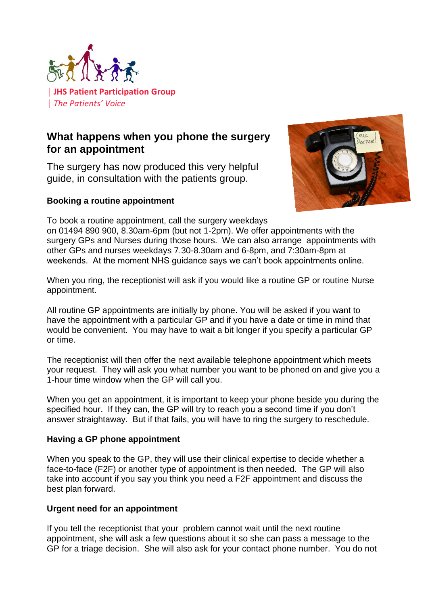

## **What happens when you phone the surgery for an appointment**

The surgery has now produced this very helpful guide, in consultation with the patients group.

#### **Booking a routine appointment**



To book a routine appointment, call the surgery weekdays on 01494 890 900, 8.30am-6pm (but not 1-2pm). We offer appointments with the surgery GPs and Nurses during those hours. We can also arrange appointments with

other GPs and nurses weekdays 7.30-8.30am and 6-8pm, and 7:30am-8pm at weekends. At the moment NHS guidance says we can't book appointments online.

When you ring, the receptionist will ask if you would like a routine GP or routine Nurse appointment.

All routine GP appointments are initially by phone. You will be asked if you want to have the appointment with a particular GP and if you have a date or time in mind that would be convenient. You may have to wait a bit longer if you specify a particular GP or time.

The receptionist will then offer the next available telephone appointment which meets your request. They will ask you what number you want to be phoned on and give you a 1-hour time window when the GP will call you.

When you get an appointment, it is important to keep your phone beside you during the specified hour. If they can, the GP will try to reach you a second time if you don't answer straightaway. But if that fails, you will have to ring the surgery to reschedule.

### **Having a GP phone appointment**

When you speak to the GP, they will use their clinical expertise to decide whether a face-to-face (F2F) or another type of appointment is then needed. The GP will also take into account if you say you think you need a F2F appointment and discuss the best plan forward.

### **Urgent need for an appointment**

If you tell the receptionist that your problem cannot wait until the next routine appointment, she will ask a few questions about it so she can pass a message to the GP for a triage decision. She will also ask for your contact phone number. You do not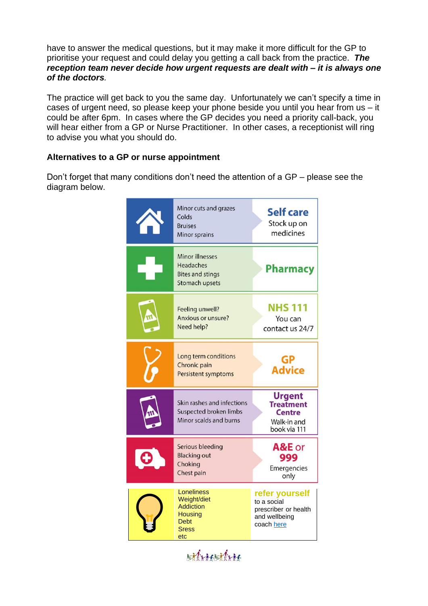have to answer the medical questions, but it may make it more difficult for the GP to prioritise your request and could delay you getting a call back from the practice. *The reception team never decide how urgent requests are dealt with – it is always one of the doctors.*

The practice will get back to you the same day. Unfortunately we can't specify a time in cases of urgent need, so please keep your phone beside you until you hear from us – it could be after 6pm. In cases where the GP decides you need a priority call-back, you will hear either from a GP or Nurse Practitioner. In other cases, a receptionist will ring to advise you what you should do.

#### **Alternatives to a GP or nurse appointment**

Don't forget that many conditions don't need the attention of a GP – please see the diagram below.

| Minor cuts and grazes<br>Colds<br><b>Bruises</b><br><b>Minor sprains</b>                              | <b>Self care</b><br>Stock up on<br>medicines                                         |
|-------------------------------------------------------------------------------------------------------|--------------------------------------------------------------------------------------|
| <b>Minor illnesses</b><br>Headaches<br><b>Bites and stings</b><br><b>Stomach upsets</b>               | <b>Pharmacy</b>                                                                      |
| Feeling unwell?<br><b>Anxious or unsure?</b><br>Need help?                                            | <b>NHS 111</b><br>You can<br>contact us 24/7                                         |
| Long term conditions<br>Chronic pain<br><b>Persistent symptoms</b>                                    | GP<br><b>Advice</b>                                                                  |
| Skin rashes and infections<br>Suspected broken limbs<br>Minor scalds and burns                        | <b>Urgent</b><br><b>Treatment</b><br><b>Centre</b><br>Walk-in and<br>book via 111    |
| Serious bleeding<br><b>Blacking out</b><br>Choking<br>Chest pain                                      | A&E or<br>999<br>Emergencies<br>only                                                 |
| Loneliness<br>Weight/diet<br><b>Addiction</b><br><b>Housing</b><br><b>Debt</b><br><b>Sress</b><br>etc | refer yourself<br>to a social<br>prescriber or health<br>and wellbeing<br>coach here |

attractive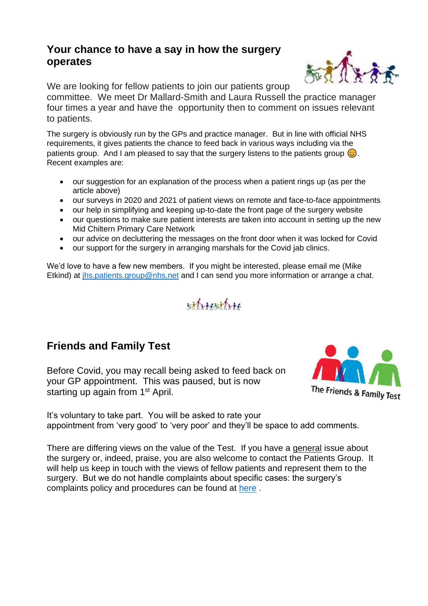## **Your chance to have a say in how the surgery operates**

We are looking for fellow patients to join our patients group

committee. We meet Dr Mallard-Smith and Laura Russell the practice manager four times a year and have the opportunity then to comment on issues relevant to patients.

The surgery is obviously run by the GPs and practice manager. But in line with official NHS requirements, it gives patients the chance to feed back in various ways including via the patients group. And I am pleased to say that the surgery listens to the patients group  $\odot$ . Recent examples are:

- our suggestion for an explanation of the process when a patient rings up (as per the article above)
- our surveys in 2020 and 2021 of patient views on remote and face-to-face appointments
- our help in simplifying and keeping up-to-date the front page of the surgery website
- our questions to make sure patient interests are taken into account in setting up the new Mid Chiltern Primary Care Network
- our advice on decluttering the messages on the front door when it was locked for Covid
- our support for the surgery in arranging marshals for the Covid jab clinics.

We'd love to have a few new members. If you might be interested, please email me (Mike Etkind) at [jhs.patients.group@nhs.net](mailto:jhs.patients.group@nhs.net) and I can send you more information or arrange a chat.

# silvisities

## **Friends and Family Test**

Before Covid, you may recall being asked to feed back on your GP appointment. This was paused, but is now starting up again from 1<sup>st</sup> April.



It's voluntary to take part. You will be asked to rate your appointment from 'very good' to 'very poor' and they'll be space to add comments.

There are differing views on the value of the Test. If you have a general issue about the surgery or, indeed, praise, you are also welcome to contact the Patients Group. It will help us keep in touch with the views of fellow patients and represent them to the surgery. But we do not handle complaints about specific cases: the surgery's complaints policy and procedures can be found at [here](https://johnhampdensurgery.co.uk/info.aspx?p=20) .